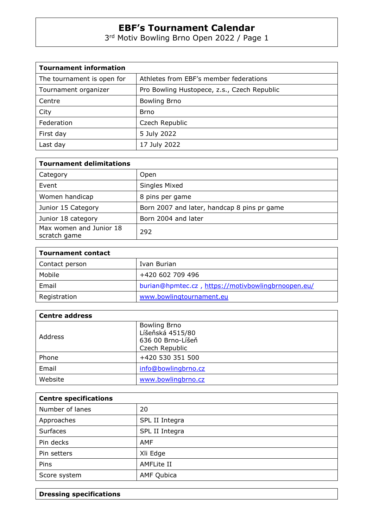3<sup>rd</sup> Motiv Bowling Brno Open 2022 / Page 1

| <b>Tournament information</b> |                                             |  |  |  |
|-------------------------------|---------------------------------------------|--|--|--|
| The tournament is open for    | Athletes from EBF's member federations      |  |  |  |
| Tournament organizer          | Pro Bowling Hustopece, z.s., Czech Republic |  |  |  |
| Centre                        | <b>Bowling Brno</b>                         |  |  |  |
| City                          | Brno                                        |  |  |  |
| Federation                    | Czech Republic                              |  |  |  |
| First day                     | 5 July 2022                                 |  |  |  |
| Last day                      | 17 July 2022                                |  |  |  |

| <b>Tournament delimitations</b>         |                                             |  |  |  |
|-----------------------------------------|---------------------------------------------|--|--|--|
| Category                                | Open                                        |  |  |  |
| Event                                   | Singles Mixed                               |  |  |  |
| Women handicap                          | 8 pins per game                             |  |  |  |
| Junior 15 Category                      | Born 2007 and later, handcap 8 pins pr game |  |  |  |
| Junior 18 category                      | Born 2004 and later                         |  |  |  |
| Max women and Junior 18<br>scratch game | 292                                         |  |  |  |

| <b>Tournament contact</b> |                                                    |
|---------------------------|----------------------------------------------------|
| Contact person            | Ivan Burian                                        |
| Mobile                    | +420 602 709 496                                   |
| Email                     | burian@hpmtec.cz, https://motivbowlingbrnoopen.eu/ |
| Registration              | www.bowlingtournament.eu                           |

| <b>Centre address</b> |                                                                                |  |  |  |
|-----------------------|--------------------------------------------------------------------------------|--|--|--|
| Address               | <b>Bowling Brno</b><br>Líšeňská 4515/80<br>636 00 Brno-Líšeň<br>Czech Republic |  |  |  |
| Phone                 | +420 530 351 500                                                               |  |  |  |
| Email                 | info@bowlingbrno.cz                                                            |  |  |  |
| Website               | www.bowlingbrno.cz                                                             |  |  |  |

| <b>Centre specifications</b> |                   |  |  |
|------------------------------|-------------------|--|--|
| Number of lanes              | 20                |  |  |
| Approaches                   | SPL II Integra    |  |  |
| <b>Surfaces</b>              | SPL II Integra    |  |  |
| Pin decks                    | <b>AMF</b>        |  |  |
| Pin setters                  | Xli Edge          |  |  |
| Pins                         | <b>AMFLite II</b> |  |  |
| Score system                 | <b>AMF Qubica</b> |  |  |

**Dressing specifications**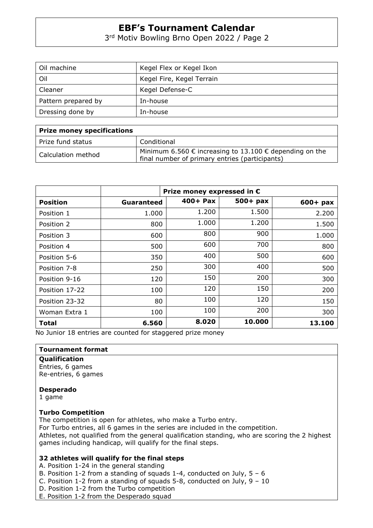3 rd Motiv Bowling Brno Open 2022 / Page 2

| Oil machine         | Kegel Flex or Kegel Ikon  |  |  |
|---------------------|---------------------------|--|--|
| Oil                 | Kegel Fire, Kegel Terrain |  |  |
| Cleaner             | Kegel Defense-C           |  |  |
| Pattern prepared by | In-house                  |  |  |
| Dressing done by    | In-house                  |  |  |

| <b>Prize money specifications</b> |                                                                                                                             |
|-----------------------------------|-----------------------------------------------------------------------------------------------------------------------------|
| Prize fund status                 | Conditional                                                                                                                 |
| Calculation method                | Minimum 6.560 $\epsilon$ increasing to 13.100 $\epsilon$ depending on the<br>final number of primary entries (participants) |

|                 | Prize money expressed in $\epsilon$ |            |            |            |  |  |
|-----------------|-------------------------------------|------------|------------|------------|--|--|
| <b>Position</b> | Guaranteed                          | $400+$ Pax | $500+$ pax | $600+$ pax |  |  |
| Position 1      | 1.000                               | 1.200      | 1.500      | 2.200      |  |  |
| Position 2      | 800                                 | 1.000      | 1.200      | 1.500      |  |  |
| Position 3      | 600                                 | 800        | 900        | 1.000      |  |  |
| Position 4      | 500                                 | 600        | 700        | 800        |  |  |
| Position 5-6    | 350                                 | 400        | 500        | 600        |  |  |
| Position 7-8    | 250                                 | 300        | 400        | 500        |  |  |
| Position 9-16   | 120                                 | 150        | 200        | 300        |  |  |
| Position 17-22  | 100                                 | 120        | 150        | 200        |  |  |
| Position 23-32  | 80                                  | 100        | 120        | 150        |  |  |
| Woman Extra 1   | 100                                 | 100        | 200        | 300        |  |  |
| Total           | 6.560                               | 8.020      | 10.000     | 13.100     |  |  |

No Junior 18 entries are counted for staggered prize money

#### **Tournament format**

**Qualification**  Entries, 6 games Re-entries, 6 games

#### **Desperado**

1 game

### **Turbo Competition**

The competition is open for athletes, who make a Turbo entry. For Turbo entries, all 6 games in the series are included in the competition. Athletes, not qualified from the general qualification standing, who are scoring the 2 highest games including handicap, will qualify for the final steps.

### **32 athletes will qualify for the final steps**

A. Position 1-24 in the general standing

B. Position 1-2 from a standing of squads 1-4, conducted on July,  $5 - 6$ 

- C. Position 1-2 from a standing of squads 5-8, conducted on July, 9 10
- D. Position 1-2 from the Turbo competition

E. Position 1-2 from the Desperado squad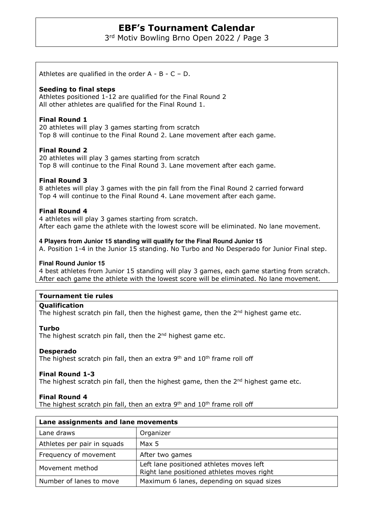3 rd Motiv Bowling Brno Open 2022 / Page 3

Athletes are qualified in the order  $A - B - C - D$ .

### **Seeding to final steps**

Athletes positioned 1-12 are qualified for the Final Round 2 All other athletes are qualified for the Final Round 1.

# **Final Round 1**

20 athletes will play 3 games starting from scratch Top 8 will continue to the Final Round 2. Lane movement after each game.

# **Final Round 2**

20 athletes will play 3 games starting from scratch Top 8 will continue to the Final Round 3. Lane movement after each game.

# **Final Round 3**

8 athletes will play 3 games with the pin fall from the Final Round 2 carried forward Top 4 will continue to the Final Round 4. Lane movement after each game.

# **Final Round 4**

4 athletes will play 3 games starting from scratch. After each game the athlete with the lowest score will be eliminated. No lane movement.

#### **4 Players from Junior 15 standing will qualify for the Final Round Junior 15**

A. Position 1-4 in the Junior 15 standing. No Turbo and No Desperado for Junior Final step.

#### **Final Round Junior 15**

4 best athletes from Junior 15 standing will play 3 games, each game starting from scratch. After each game the athlete with the lowest score will be eliminated. No lane movement.

### **Tournament tie rules**

# **Qualification**

The highest scratch pin fall, then the highest game, then the  $2<sup>nd</sup>$  highest game etc.

#### **Turbo**

The highest scratch pin fall, then the  $2<sup>nd</sup>$  highest game etc.

#### **Desperado**

The highest scratch pin fall, then an extra 9<sup>th</sup> and 10<sup>th</sup> frame roll off

#### **Final Round 1-3**

The highest scratch pin fall, then the highest game, then the 2<sup>nd</sup> highest game etc.

#### **Final Round 4**

The highest scratch pin fall, then an extra  $9<sup>th</sup>$  and  $10<sup>th</sup>$  frame roll off

| Lane assignments and lane movements |                                                                                        |  |  |
|-------------------------------------|----------------------------------------------------------------------------------------|--|--|
| Lane draws                          | Organizer                                                                              |  |  |
| Athletes per pair in squads         | Max 5                                                                                  |  |  |
| Frequency of movement               | After two games                                                                        |  |  |
| Movement method                     | Left lane positioned athletes moves left<br>Right lane positioned athletes moves right |  |  |
| Number of lanes to move             | Maximum 6 lanes, depending on squad sizes                                              |  |  |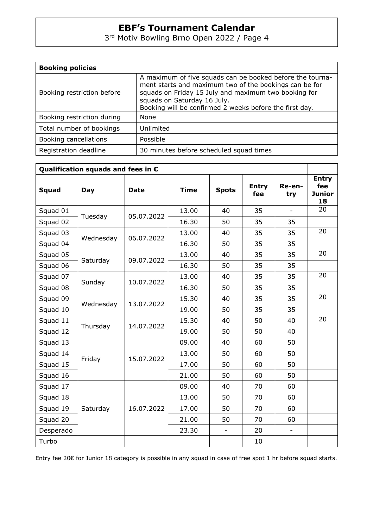3 rd Motiv Bowling Brno Open 2022 / Page 4

| <b>Booking policies</b>    |                                                                                                                                                                                                                                                                       |  |  |  |
|----------------------------|-----------------------------------------------------------------------------------------------------------------------------------------------------------------------------------------------------------------------------------------------------------------------|--|--|--|
| Booking restriction before | A maximum of five squads can be booked before the tourna-<br>ment starts and maximum two of the bookings can be for<br>squads on Friday 15 July and maximum two booking for<br>squads on Saturday 16 July.<br>Booking will be confirmed 2 weeks before the first day. |  |  |  |
| Booking restriction during | <b>None</b>                                                                                                                                                                                                                                                           |  |  |  |
| Total number of bookings   | Unlimited                                                                                                                                                                                                                                                             |  |  |  |
| Booking cancellations      | Possible                                                                                                                                                                                                                                                              |  |  |  |
| Registration deadline      | 30 minutes before scheduled squad times                                                                                                                                                                                                                               |  |  |  |

| Qualification squads and fees in $\varepsilon$ |           |             |             |                          |                     |                          |                                            |
|------------------------------------------------|-----------|-------------|-------------|--------------------------|---------------------|--------------------------|--------------------------------------------|
| <b>Squad</b>                                   | Day       | <b>Date</b> | <b>Time</b> | <b>Spots</b>             | <b>Entry</b><br>fee | Re-en-<br>try            | <b>Entry</b><br>fee<br><b>Junior</b><br>18 |
| Squad 01                                       | Tuesday   | 05.07.2022  | 13.00       | 40                       | 35                  | $\overline{\phantom{a}}$ | 20                                         |
| Squad 02                                       |           |             | 16.30       | 50                       | 35                  | 35                       |                                            |
| Squad 03                                       | Wednesday | 06.07.2022  | 13.00       | 40                       | 35                  | 35                       | 20                                         |
| Squad 04                                       |           |             | 16.30       | 50                       | 35                  | 35                       |                                            |
| Squad 05                                       | Saturday  | 09.07.2022  | 13.00       | 40                       | 35                  | 35                       | 20                                         |
| Squad 06                                       |           |             | 16.30       | 50                       | 35                  | 35                       |                                            |
| Squad 07                                       |           | 10.07.2022  | 13.00       | 40                       | 35                  | 35                       | 20                                         |
| Squad 08                                       | Sunday    |             | 16.30       | 50                       | 35                  | 35                       |                                            |
| Squad 09                                       | Wednesday | 13.07.2022  | 15.30       | 40                       | 35                  | 35                       | 20                                         |
| Squad 10                                       |           |             | 19.00       | 50                       | 35                  | 35                       |                                            |
| Squad 11                                       |           | 14.07.2022  | 15.30       | 40                       | 50                  | 40                       | 20                                         |
| Squad 12                                       | Thursday  |             | 19.00       | 50                       | 50                  | 40                       |                                            |
| Squad 13                                       |           |             | 09.00       | 40                       | 60                  | 50                       |                                            |
| Squad 14                                       | Friday    | 15.07.2022  | 13.00       | 50                       | 60                  | 50                       |                                            |
| Squad 15                                       |           |             | 17.00       | 50                       | 60                  | 50                       |                                            |
| Squad 16                                       |           |             | 21.00       | 50                       | 60                  | 50                       |                                            |
| Squad 17                                       |           |             | 09.00       | 40                       | 70                  | 60                       |                                            |
| Squad 18                                       |           |             | 13.00       | 50                       | 70                  | 60                       |                                            |
| Squad 19                                       | Saturday  | 16.07.2022  | 17.00       | 50                       | 70                  | 60                       |                                            |
| Squad 20                                       |           |             | 21.00       | 50                       | 70                  | 60                       |                                            |
| Desperado                                      |           |             | 23.30       | $\overline{\phantom{a}}$ | 20                  | $\overline{\phantom{0}}$ |                                            |
| Turbo                                          |           |             |             |                          | 10                  |                          |                                            |

Entry fee 20€ for Junior 18 category is possible in any squad in case of free spot 1 hr before squad starts.